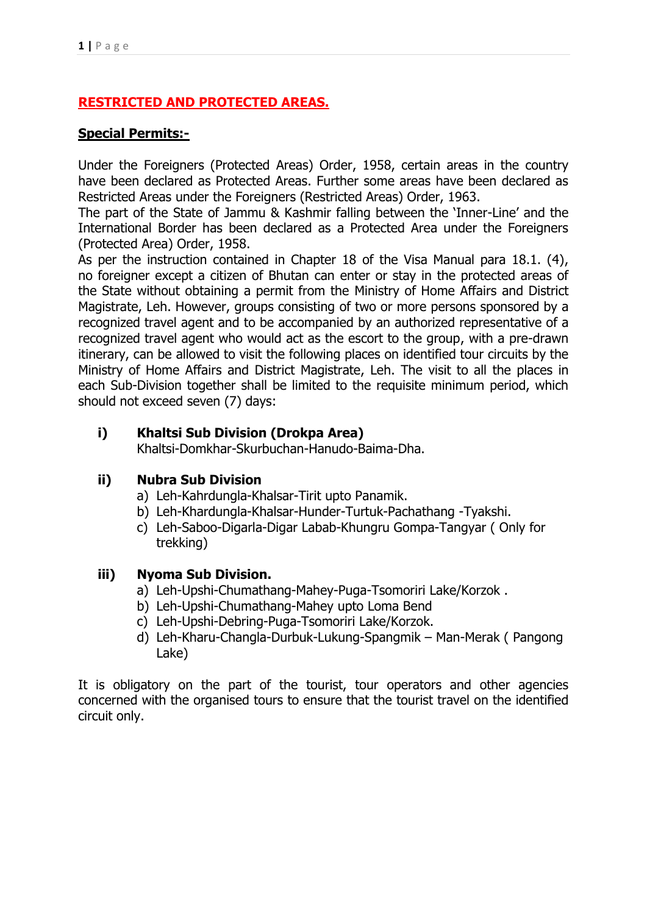# **RESTRICTED AND PROTECTED AREAS.**

### **Special Permits:-**

Under the Foreigners (Protected Areas) Order, 1958, certain areas in the country have been declared as Protected Areas. Further some areas have been declared as Restricted Areas under the Foreigners (Restricted Areas) Order, 1963.

The part of the State of Jammu & Kashmir falling between the 'Inner-Line' and the International Border has been declared as a Protected Area under the Foreigners (Protected Area) Order, 1958.

As per the instruction contained in Chapter 18 of the Visa Manual para 18.1. (4), no foreigner except a citizen of Bhutan can enter or stay in the protected areas of the State without obtaining a permit from the Ministry of Home Affairs and District Magistrate, Leh. However, groups consisting of two or more persons sponsored by a recognized travel agent and to be accompanied by an authorized representative of a recognized travel agent who would act as the escort to the group, with a pre-drawn itinerary, can be allowed to visit the following places on identified tour circuits by the Ministry of Home Affairs and District Magistrate, Leh. The visit to all the places in each Sub-Division together shall be limited to the requisite minimum period, which should not exceed seven (7) days:

### **i) Khaltsi Sub Division (Drokpa Area)**

Khaltsi-Domkhar-Skurbuchan-Hanudo-Baima-Dha.

### **ii) Nubra Sub Division**

- a) Leh-Kahrdungla-Khalsar-Tirit upto Panamik.
- b) Leh-Khardungla-Khalsar-Hunder-Turtuk-Pachathang -Tyakshi.
- c) Leh-Saboo-Digarla-Digar Labab-Khungru Gompa-Tangyar ( Only for trekking)

### **iii) Nyoma Sub Division.**

- a) Leh-Upshi-Chumathang-Mahey-Puga-Tsomoriri Lake/Korzok .
- b) Leh-Upshi-Chumathang-Mahey upto Loma Bend
- c) Leh-Upshi-Debring-Puga-Tsomoriri Lake/Korzok.
- d) Leh-Kharu-Changla-Durbuk-Lukung-Spangmik Man-Merak ( Pangong Lake)

It is obligatory on the part of the tourist, tour operators and other agencies concerned with the organised tours to ensure that the tourist travel on the identified circuit only.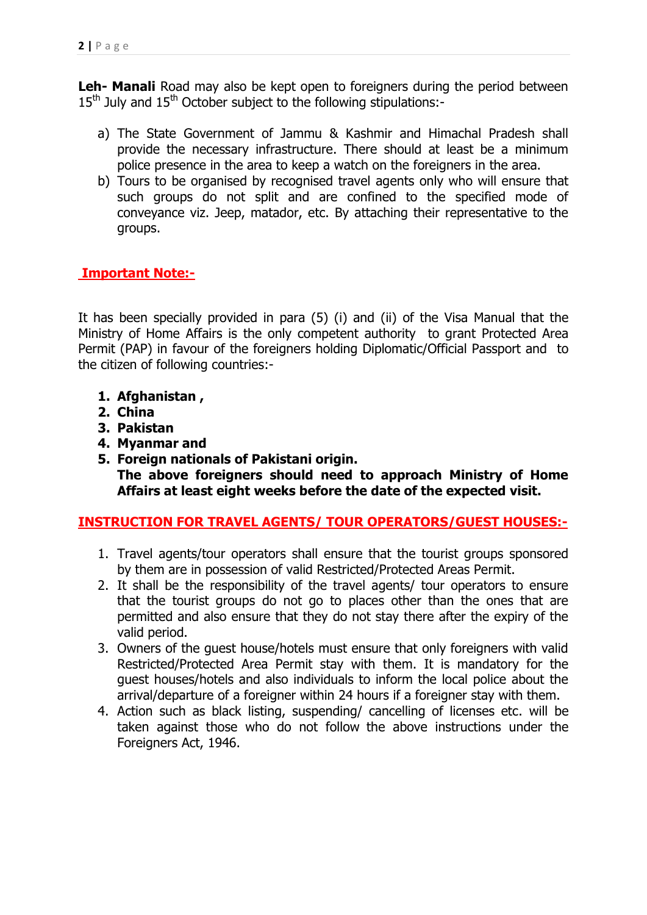**Leh- Manali** Road may also be kept open to foreigners during the period between  $15<sup>th</sup>$  July and  $15<sup>th</sup>$  October subject to the following stipulations:-

- a) The State Government of Jammu & Kashmir and Himachal Pradesh shall provide the necessary infrastructure. There should at least be a minimum police presence in the area to keep a watch on the foreigners in the area.
- b) Tours to be organised by recognised travel agents only who will ensure that such groups do not split and are confined to the specified mode of conveyance viz. Jeep, matador, etc. By attaching their representative to the groups.

### **Important Note:-**

It has been specially provided in para (5) (i) and (ii) of the Visa Manual that the Ministry of Home Affairs is the only competent authority to grant Protected Area Permit (PAP) in favour of the foreigners holding Diplomatic/Official Passport and to the citizen of following countries:-

- **1. Afghanistan ,**
- **2. China**
- **3. Pakistan**
- **4. Myanmar and**
- **5. Foreign nationals of Pakistani origin. The above foreigners should need to approach Ministry of Home Affairs at least eight weeks before the date of the expected visit.**

### **INSTRUCTION FOR TRAVEL AGENTS/ TOUR OPERATORS/GUEST HOUSES:-**

- 1. Travel agents/tour operators shall ensure that the tourist groups sponsored by them are in possession of valid Restricted/Protected Areas Permit.
- 2. It shall be the responsibility of the travel agents/ tour operators to ensure that the tourist groups do not go to places other than the ones that are permitted and also ensure that they do not stay there after the expiry of the valid period.
- 3. Owners of the guest house/hotels must ensure that only foreigners with valid Restricted/Protected Area Permit stay with them. It is mandatory for the guest houses/hotels and also individuals to inform the local police about the arrival/departure of a foreigner within 24 hours if a foreigner stay with them.
- 4. Action such as black listing, suspending/ cancelling of licenses etc. will be taken against those who do not follow the above instructions under the Foreigners Act, 1946.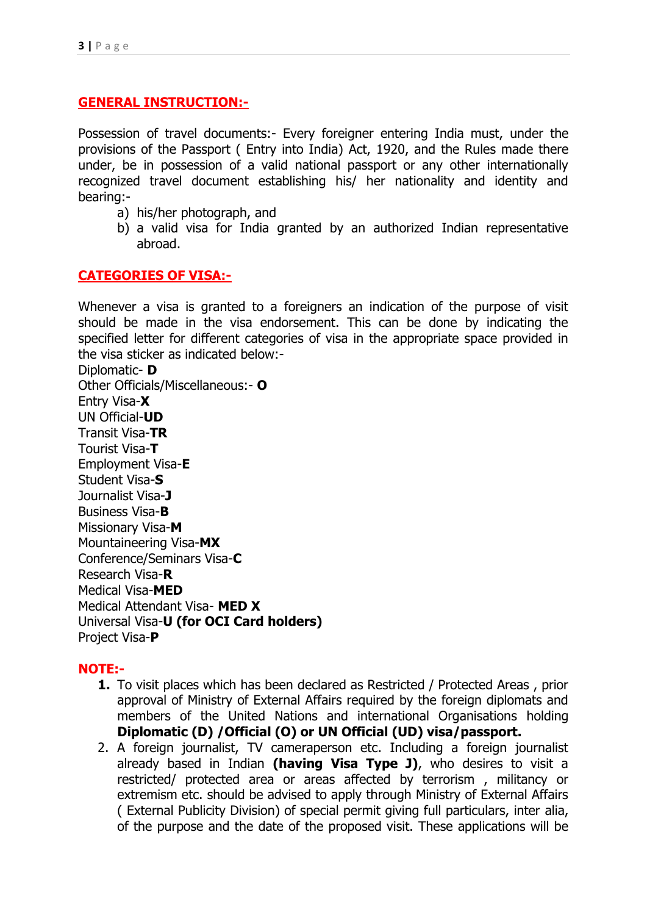### **GENERAL INSTRUCTION:-**

Possession of travel documents:- Every foreigner entering India must, under the provisions of the Passport ( Entry into India) Act, 1920, and the Rules made there under, be in possession of a valid national passport or any other internationally recognized travel document establishing his/ her nationality and identity and bearing:-

- a) his/her photograph, and
- b) a valid visa for India granted by an authorized Indian representative abroad.

#### **CATEGORIES OF VISA:-**

Whenever a visa is granted to a foreigners an indication of the purpose of visit should be made in the visa endorsement. This can be done by indicating the specified letter for different categories of visa in the appropriate space provided in the visa sticker as indicated below:-

Diplomatic- **D** Other Officials/Miscellaneous:- **O** Entry Visa-**X** UN Official-**UD** Transit Visa-**TR** Tourist Visa-**T** Employment Visa-**E** Student Visa-**S** Journalist Visa-**J** Business Visa-**B** Missionary Visa-**M** Mountaineering Visa-**MX** Conference/Seminars Visa-**C** Research Visa-**R** Medical Visa-**MED** Medical Attendant Visa- **MED X** Universal Visa-**U (for OCI Card holders)** Project Visa-**P**

### **NOTE:-**

- **1.** To visit places which has been declared as Restricted / Protected Areas , prior approval of Ministry of External Affairs required by the foreign diplomats and members of the United Nations and international Organisations holding **Diplomatic (D) /Official (O) or UN Official (UD) visa/passport.**
- 2. A foreign journalist, TV cameraperson etc. Including a foreign journalist already based in Indian **(having Visa Type J)**, who desires to visit a restricted/ protected area or areas affected by terrorism , militancy or extremism etc. should be advised to apply through Ministry of External Affairs ( External Publicity Division) of special permit giving full particulars, inter alia, of the purpose and the date of the proposed visit. These applications will be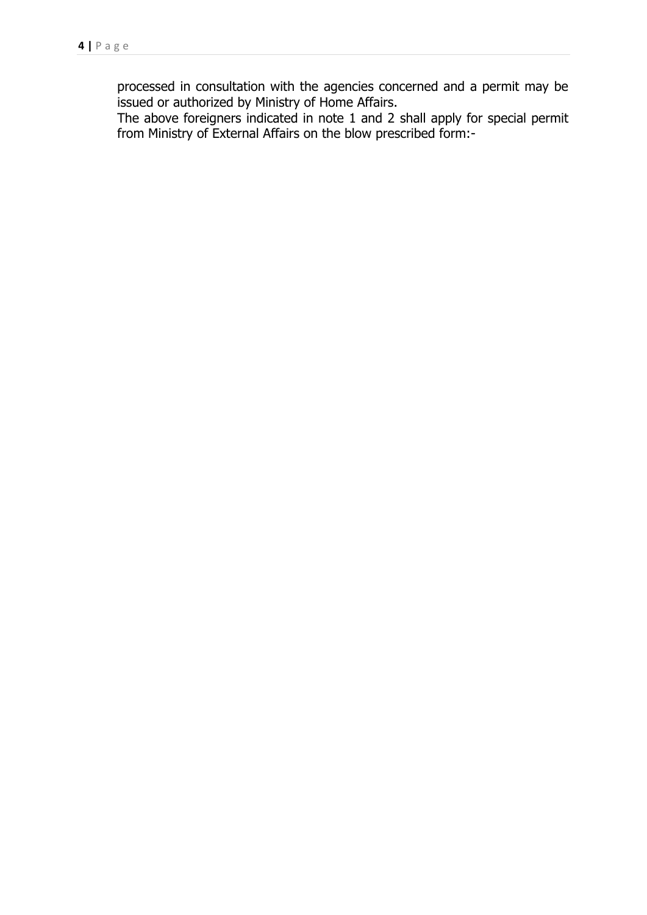processed in consultation with the agencies concerned and a permit may be issued or authorized by Ministry of Home Affairs.

The above foreigners indicated in note 1 and 2 shall apply for special permit from Ministry of External Affairs on the blow prescribed form:-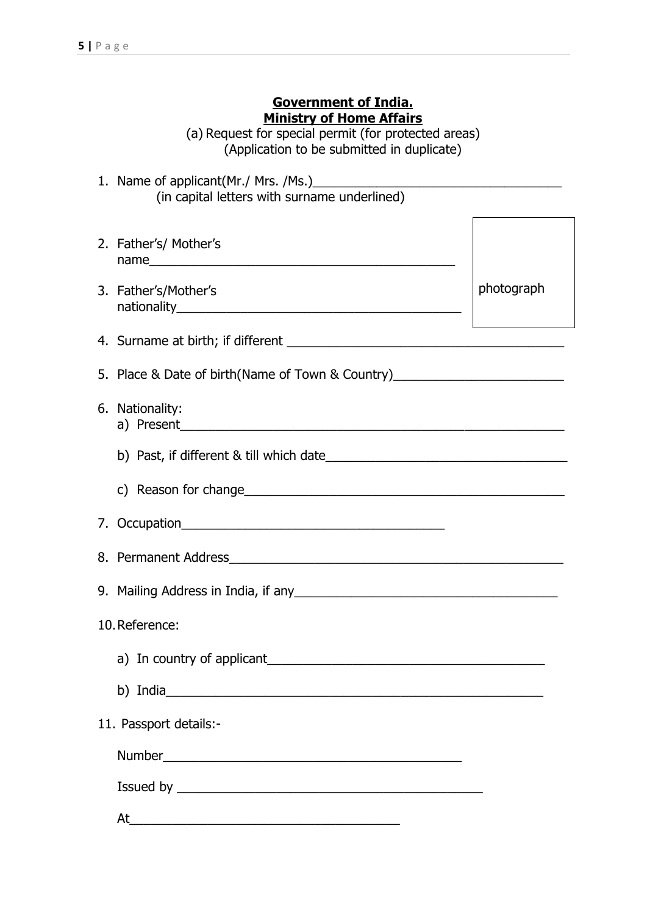### **Government of India. Ministry of Home Affairs**

(a) Request for special permit (for protected areas) (Application to be submitted in duplicate)

- 1. Name of applicant(Mr./ Mrs. /Ms.) (in capital letters with surname underlined)
- 2. Father's/ Mother's name
- 3. Father's/Mother's nationality

photograph

5. Place & Date of birth(Name of Town & Country)\_\_\_\_\_\_\_\_\_\_\_\_\_\_\_\_\_\_\_\_\_\_\_\_\_\_\_\_\_\_\_\_

4. Surname at birth; if different \_\_\_\_\_\_\_\_\_\_\_\_\_\_\_\_\_\_\_\_\_\_\_\_\_\_\_\_\_\_\_\_\_\_\_\_\_\_\_

6. Nationality: a) Present

b) Past, if different & till which date\_\_\_\_\_\_\_\_\_\_\_\_\_\_\_\_\_\_\_\_\_\_\_\_\_\_\_\_\_\_\_\_\_\_

- c) Reason for change\_\_\_\_\_\_\_\_\_\_\_\_\_\_\_\_\_\_\_\_\_\_\_\_\_\_\_\_\_\_\_\_\_\_\_\_\_\_\_\_\_\_\_\_\_
- 7. Occupation

8. Permanent Address

9. Mailing Address in India, if any 19. Mailing Address in India, if any 19. Mailing Address in India, if any

10.Reference:

a) In country of applicant

b) India

11. Passport details:-

Number\_\_\_\_\_\_\_\_\_\_\_\_\_\_\_\_\_\_\_\_\_\_\_\_\_\_\_\_\_\_\_\_\_\_\_\_\_\_\_\_\_\_

Issued by  $\overline{\phantom{a}}$ 

At  $\qquad \qquad \overbrace{\qquad \qquad }$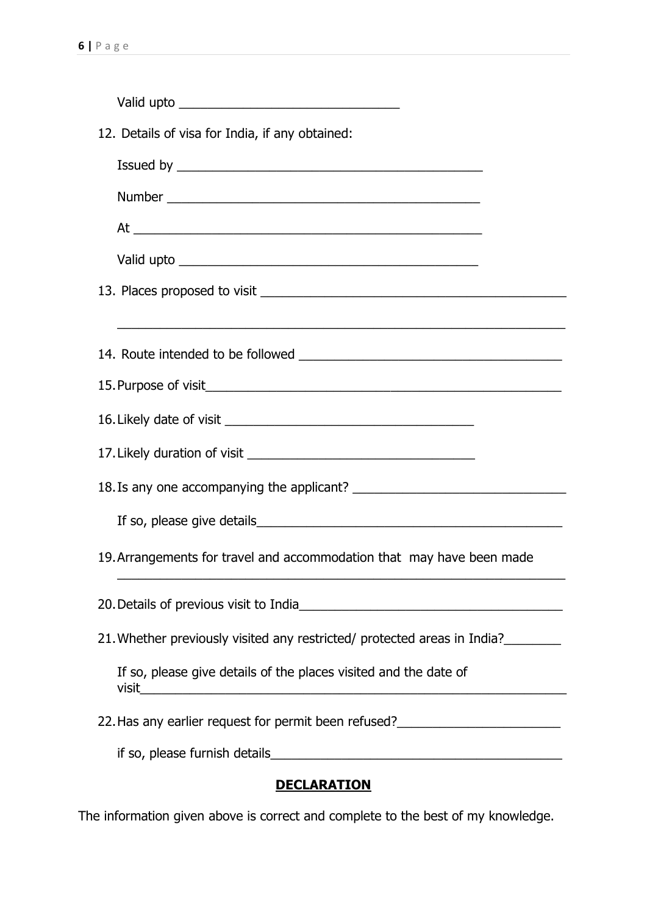| 12. Details of visa for India, if any obtained:                                                                       |
|-----------------------------------------------------------------------------------------------------------------------|
|                                                                                                                       |
|                                                                                                                       |
|                                                                                                                       |
|                                                                                                                       |
|                                                                                                                       |
| <u> 1990 - Johann Harry Harry Harry Harry Harry Harry Harry Harry Harry Harry Harry Harry Harry Harry Harry Harry</u> |
|                                                                                                                       |
|                                                                                                                       |
|                                                                                                                       |
|                                                                                                                       |
|                                                                                                                       |
|                                                                                                                       |
| 19. Arrangements for travel and accommodation that may have been made                                                 |
|                                                                                                                       |
| 21. Whether previously visited any restricted/ protected areas in India?                                              |
| If so, please give details of the places visited and the date of                                                      |
| 22. Has any earlier request for permit been refused?____________________________                                      |
|                                                                                                                       |
| <u>DECLARATION</u>                                                                                                    |

The information given above is correct and complete to the best of my knowledge.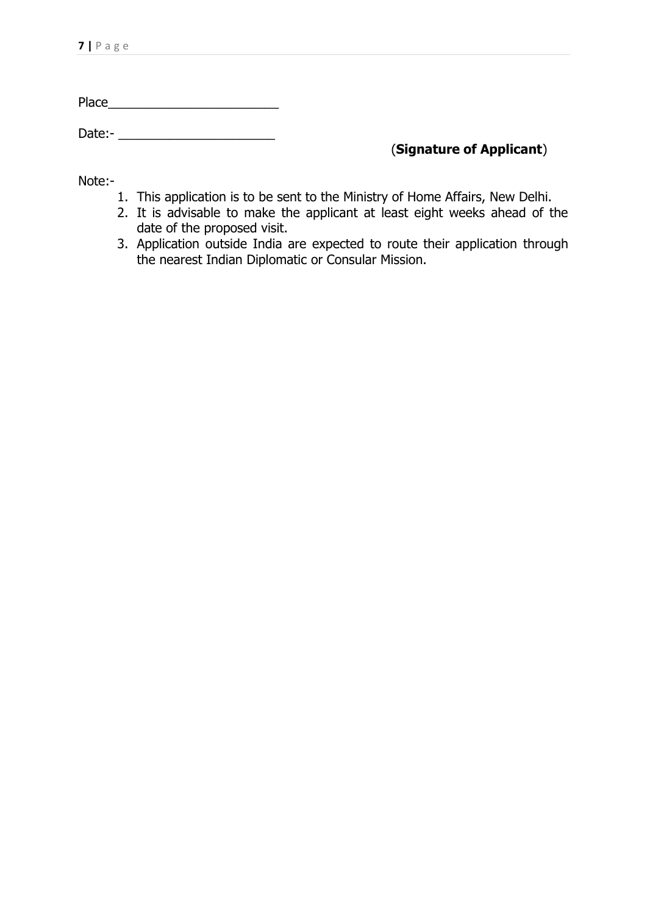Place\_\_\_\_\_\_\_\_\_\_\_\_\_\_\_\_\_\_\_\_\_\_\_\_

Date:- \_\_\_\_\_\_\_\_\_\_\_\_\_\_\_\_\_\_\_\_\_\_

## (**Signature of Applicant**)

Note:-

- 1. This application is to be sent to the Ministry of Home Affairs, New Delhi.
- 2. It is advisable to make the applicant at least eight weeks ahead of the date of the proposed visit.
- 3. Application outside India are expected to route their application through the nearest Indian Diplomatic or Consular Mission.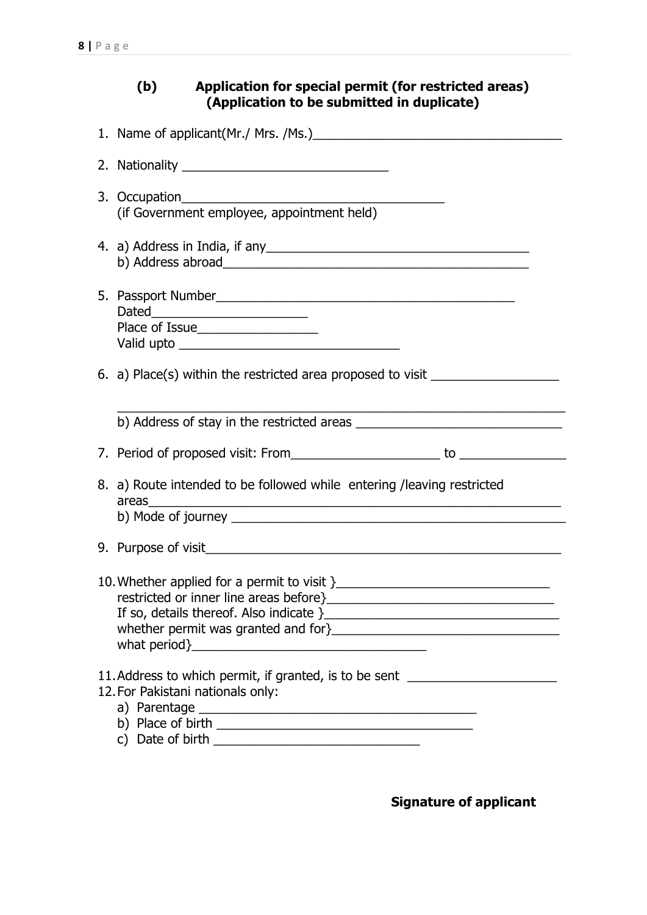| Application for special permit (for restricted areas)<br>(b)<br>(Application to be submitted in duplicate)            |
|-----------------------------------------------------------------------------------------------------------------------|
| 1. Name of applicant(Mr./ Mrs. /Ms.)                                                                                  |
|                                                                                                                       |
|                                                                                                                       |
|                                                                                                                       |
| Place of Issue_____________________                                                                                   |
| 6. a) Place(s) within the restricted area proposed to visit ____________________                                      |
|                                                                                                                       |
|                                                                                                                       |
| 8. a) Route intended to be followed while entering / leaving restricted<br>areas                                      |
|                                                                                                                       |
|                                                                                                                       |
| 11. Address to which permit, if granted, is to be sent _________________________<br>12. For Pakistani nationals only: |

**Signature of applicant**